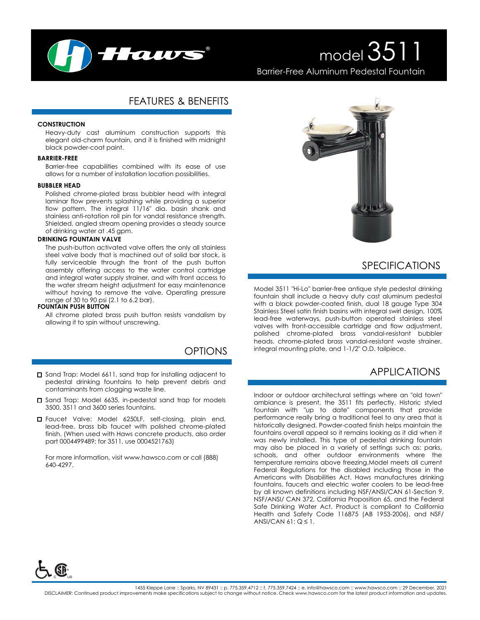

# model 3511 Barrier-Free Aluminum Pedestal Fountain

# FEATURES & BENEFITS

#### **CONSTRUCTION**

Heavy-duty cast aluminum construction supports this elegant old-charm fountain, and it is finished with midnight black powder-coat paint.

#### **BARRIER-FREE**

Barrier-free capabilities combined with its ease of use allows for a number of installation location possibilities.

#### **BUBBLER HEAD**

Polished chrome-plated brass bubbler head with integral laminar flow prevents splashing while providing a superior flow pattern. The integral 11/16" dia. basin shank and stainless anti-rotation roll pin for vandal resistance strength. Shielded, angled stream opening provides a steady source of drinking water at .45 gpm.

#### **DRINKING FOUNTAIN VALVE**

The push-button activated valve offers the only all stainless steel valve body that is machined out of solid bar stock, is fully serviceable through the front of the push button assembly offering access to the water control cartridge and integral water supply strainer, and with front access to the water stream height adjustment for easy maintenance without having to remove the valve. Operating pressure range of 30 to 90 psi (2.1 to 6.2 bar).

#### **FOUNTAIN PUSH BUTTON**

All chrome plated brass push button resists vandalism by allowing it to spin without unscrewing.

# OPTIONS

- □ Sand Trap: Model 6611, sand trap for installing adjacent to pedestal drinking fountains to help prevent debris and contaminants from clogging waste line.
- □ Sand Trap: Model 6635, in-pedestal sand trap for models 3500, 3511 and 3600 series fountains.
- Faucet Valve: Model 6250LF, self-closing, plain end, lead-free, brass bib faucet with polished chrome-plated finish. (When used with Haws concrete products, also order part 0004499489; for 3511, use 0004521763)

For more information, visit www.hawsco.com or call (888) 640-4297.



### SPECIFICATIONS

Model 3511 "Hi-Lo" barrier-free antique style pedestal drinking fountain shall include a heavy duty cast aluminum pedestal with a black powder-coated finish, dual 18 gauge Type 304 Stainless Steel satin finish basins with integral swirl design, 100% lead-free waterways, push-button operated stainless steel valves with front-accessible cartridge and flow adjustment, polished chrome-plated brass vandal-resistant bubbler heads, chrome-plated brass vandal-resistant waste strainer, integral mounting plate, and 1-1/2" O.D. tailpiece.

### APPLICATIONS

Indoor or outdoor architectural settings where an "old town" ambiance is present, the 3511 fits perfectly. Historic styled fountain with "up to date" components that provide performance really bring a traditional feel to any area that is historically designed. Powder-coated finish helps maintain the fountains overall appeal so it remains looking as it did when it was newly installed. This type of pedestal drinking fountain may also be placed in a variety of settings such as: parks, schools, and other outdoor environments where the temperature remains above freezing.Model meets all current Federal Regulations for the disabled including those in the Americans with Disabilities Act. Haws manufactures drinking fountains, faucets and electric water coolers to be lead-free by all known definitions including NSF/ANSI/CAN 61-Section 9, NSF/ANSI/ CAN 372, California Proposition 65, and the Federal Safe Drinking Water Act. Product is compliant to California Health and Safety Code 116875 (AB 1953-2006), and NSF/ ANSI/CAN  $61: Q \leq 1$ .